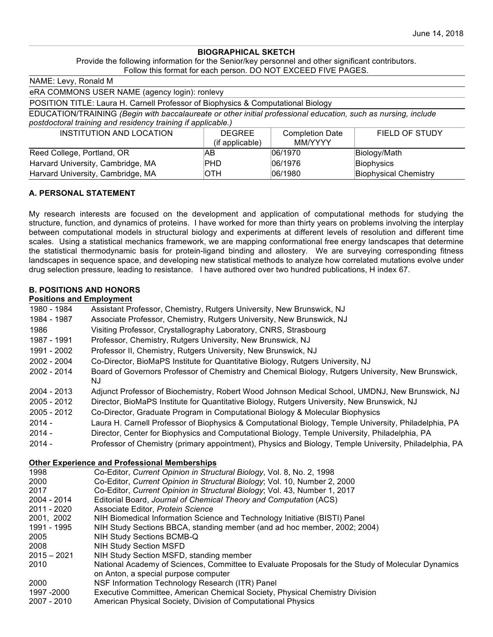#### **BIOGRAPHICAL SKETCH**

Provide the following information for the Senior/key personnel and other significant contributors. Follow this format for each person. DO NOT EXCEED FIVE PAGES.

| NAME: Levy, Ronald M                                                                                           |                 |                        |                              |
|----------------------------------------------------------------------------------------------------------------|-----------------|------------------------|------------------------------|
| eRA COMMONS USER NAME (agency login): ronlevy                                                                  |                 |                        |                              |
| POSITION TITLE: Laura H. Carnell Professor of Biophysics & Computational Biology                               |                 |                        |                              |
| EDUCATION/TRAINING (Begin with baccalaureate or other initial professional education, such as nursing, include |                 |                        |                              |
| postdoctoral training and residency training if applicable.)                                                   |                 |                        |                              |
| <b>INSTITUTION AND LOCATION</b>                                                                                | <b>DEGREE</b>   | <b>Completion Date</b> | <b>FIELD OF STUDY</b>        |
|                                                                                                                | (if applicable) | <b>MM/YYYY</b>         |                              |
| Reed College, Portland, OR                                                                                     | AB              | 06/1970                | Biology/Math                 |
| Harvard University, Cambridge, MA                                                                              | PHD             | 06/1976                | Biophysics                   |
| Harvard University, Cambridge, MA                                                                              | <b>OTH</b>      | 06/1980                | <b>Biophysical Chemistry</b> |

## **A. PERSONAL STATEMENT**

My research interests are focused on the development and application of computational methods for studying the structure, function, and dynamics of proteins. I have worked for more than thirty years on problems involving the interplay between computational models in structural biology and experiments at different levels of resolution and different time scales. Using a statistical mechanics framework, we are mapping conformational free energy landscapes that determine the statistical thermodynamic basis for protein-ligand binding and allostery. We are surveying corresponding fitness landscapes in sequence space, and developing new statistical methods to analyze how correlated mutations evolve under drug selection pressure, leading to resistance. I have authored over two hundred publications, H index 67.

## **B. POSITIONS AND HONORS**

#### **Positions and Employment**

- 1980 1984 Assistant Professor, Chemistry, Rutgers University, New Brunswick, NJ 1984 - 1987 Associate Professor, Chemistry, Rutgers University, New Brunswick, NJ 1986 Visiting Professor, Crystallography Laboratory, CNRS, Strasbourg 1987 - 1991 Professor, Chemistry, Rutgers University, New Brunswick, NJ 1991 - 2002 Professor II, Chemistry, Rutgers University, New Brunswick, NJ 2002 - 2004 Co-Director, BioMaPS Institute for Quantitative Biology, Rutgers University, NJ 2002 - 2014 Board of Governors Professor of Chemistry and Chemical Biology, Rutgers University, New Brunswick, NJ 2004 - 2013 Adjunct Professor of Biochemistry, Robert Wood Johnson Medical School, UMDNJ, New Brunswick, NJ 2005 - 2012 Director, BioMaPS Institute for Quantitative Biology, Rutgers University, New Brunswick, NJ 2005 - 2012 Co-Director, Graduate Program in Computational Biology & Molecular Biophysics 2014 - Laura H. Carnell Professor of Biophysics & Computational Biology, Temple University, Philadelphia, PA 2014 - Director, Center for Biophysics and Computational Biology, Temple University, Philadelphia, PA 2014 - Professor of Chemistry (primary appointment), Physics and Biology, Temple University, Philadelphia, PA **Other Experience and Professional Memberships** 1998 Co-Editor, *Current Opinion in Structural Biology*, Vol. 8, No. 2, 1998 2000 Co-Editor, *Current Opinion in Structural Biology*; Vol. 10, Number 2, 2000 2017 Co-Editor, *Current Opinion in Structural Biology*; Vol. 43, Number 1, 2017 2004 - 2014 Editorial Board, *Journal of Chemical Theory and Computation* (ACS) 2011 - 2020 Associate Editor, *Protein Science* 2001, 2002 NIH Biomedical Information Science and Technology Initiative (BISTI) Panel 1991 - 1995 NIH Study Sections BBCA, standing member (and ad hoc member, 2002; 2004) 2005 NIH Study Sections BCMB-Q 2008 NIH Study Section MSFD<br>2015 - 2021 NIH Study Section MSFD. NIH Study Section MSFD, standing member 2010 National Academy of Sciences, Committee to Evaluate Proposals for the Study of Molecular Dynamics on Anton, a special purpose computer 2000 NSF Information Technology Research (ITR) Panel
- 1997 -2000 Executive Committee, American Chemical Society, Physical Chemistry Division
- 2007 2010 American Physical Society, Division of Computational Physics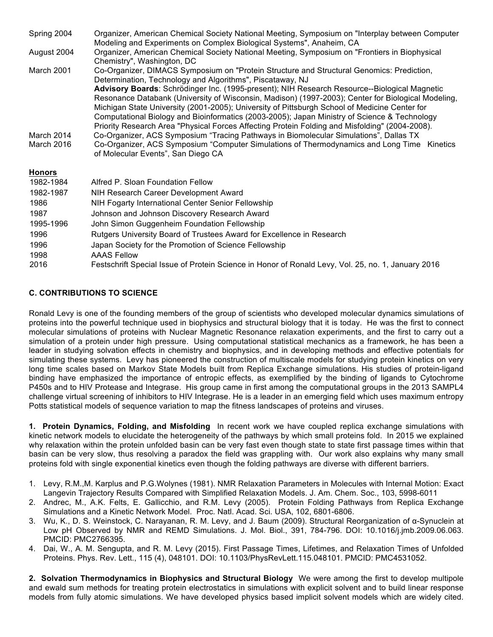| Spring 2004              | Organizer, American Chemical Society National Meeting, Symposium on "Interplay between Computer                                                                                                                                                                                                                                                                                                                                                                                                       |  |  |
|--------------------------|-------------------------------------------------------------------------------------------------------------------------------------------------------------------------------------------------------------------------------------------------------------------------------------------------------------------------------------------------------------------------------------------------------------------------------------------------------------------------------------------------------|--|--|
|                          | Modeling and Experiments on Complex Biological Systems", Anaheim, CA                                                                                                                                                                                                                                                                                                                                                                                                                                  |  |  |
| August 2004              | Organizer, American Chemical Society National Meeting, Symposium on "Frontiers in Biophysical<br>Chemistry", Washington, DC                                                                                                                                                                                                                                                                                                                                                                           |  |  |
| March 2001               | Co-Organizer, DIMACS Symposium on "Protein Structure and Structural Genomics: Prediction,<br>Determination, Technology and Algorithms", Piscataway, NJ                                                                                                                                                                                                                                                                                                                                                |  |  |
|                          | Advisory Boards: Schrödinger Inc. (1995-present); NIH Research Resource--Biological Magnetic<br>Resonance Databank (University of Wisconsin, Madison) (1997-2003); Center for Biological Modeling,<br>Michigan State University (2001-2005); University of Pittsburgh School of Medicine Center for<br>Computational Biology and Bioinformatics (2003-2005); Japan Ministry of Science & Technology<br>Priority Research Area "Physical Forces Affecting Protein Folding and Misfolding" (2004-2008). |  |  |
| March 2014<br>March 2016 | Co-Organizer, ACS Symposium "Tracing Pathways in Biomolecular Simulations", Dallas TX<br>Co-Organizer, ACS Symposium "Computer Simulations of Thermodynamics and Long Time Kinetics<br>of Molecular Events", San Diego CA                                                                                                                                                                                                                                                                             |  |  |
| <b>Honors</b>            |                                                                                                                                                                                                                                                                                                                                                                                                                                                                                                       |  |  |
| 1982-1984                | Alfred P. Sloan Foundation Fellow                                                                                                                                                                                                                                                                                                                                                                                                                                                                     |  |  |
| 1982-1987                | NIH Research Career Development Award                                                                                                                                                                                                                                                                                                                                                                                                                                                                 |  |  |
| 1986                     | NIH Fogarty International Center Senior Fellowship                                                                                                                                                                                                                                                                                                                                                                                                                                                    |  |  |
| 1987                     | Johnson and Johnson Discovery Research Award                                                                                                                                                                                                                                                                                                                                                                                                                                                          |  |  |
| 1995-1996                | John Simon Guggenheim Foundation Fellowship                                                                                                                                                                                                                                                                                                                                                                                                                                                           |  |  |
| 1996                     | Rutgers University Board of Trustees Award for Excellence in Research                                                                                                                                                                                                                                                                                                                                                                                                                                 |  |  |
| 1996                     | Japan Society for the Promotion of Science Fellowship                                                                                                                                                                                                                                                                                                                                                                                                                                                 |  |  |
| 1998                     | <b>AAAS Fellow</b>                                                                                                                                                                                                                                                                                                                                                                                                                                                                                    |  |  |
| 2016                     | Festschrift Special Issue of Protein Science in Honor of Ronald Levy, Vol. 25, no. 1, January 2016                                                                                                                                                                                                                                                                                                                                                                                                    |  |  |

# **C. CONTRIBUTIONS TO SCIENCE**

Ronald Levy is one of the founding members of the group of scientists who developed molecular dynamics simulations of proteins into the powerful technique used in biophysics and structural biology that it is today. He was the first to connect molecular simulations of proteins with Nuclear Magnetic Resonance relaxation experiments, and the first to carry out a simulation of a protein under high pressure. Using computational statistical mechanics as a framework, he has been a leader in studying solvation effects in chemistry and biophysics, and in developing methods and effective potentials for simulating these systems. Levy has pioneered the construction of multiscale models for studying protein kinetics on very long time scales based on Markov State Models built from Replica Exchange simulations. His studies of protein-ligand binding have emphasized the importance of entropic effects, as exemplified by the binding of ligands to Cytochrome P450s and to HIV Protease and Integrase. His group came in first among the computational groups in the 2013 SAMPL4 challenge virtual screening of inhibitors to HIV Integrase. He is a leader in an emerging field which uses maximum entropy Potts statistical models of sequence variation to map the fitness landscapes of proteins and viruses.

**1. Protein Dynamics, Folding, and Misfolding** In recent work we have coupled replica exchange simulations with kinetic network models to elucidate the heterogeneity of the pathways by which small proteins fold. In 2015 we explained why relaxation within the protein unfolded basin can be very fast even though state to state first passage times within that basin can be very slow, thus resolving a paradox the field was grappling with. Our work also explains why many small proteins fold with single exponential kinetics even though the folding pathways are diverse with different barriers.

- 1. Levy, R.M.,M. Karplus and P.G.Wolynes (1981). NMR Relaxation Parameters in Molecules with Internal Motion: Exact Langevin Trajectory Results Compared with Simplified Relaxation Models. J. Am. Chem. Soc., 103, 5998-6011
- 2. Andrec, M., A.K. Felts, E. Gallicchio, and R.M. Levy (2005). Protein Folding Pathways from Replica Exchange Simulations and a Kinetic Network Model. Proc. Natl. Acad. Sci. USA, 102, 6801-6806.
- 3. Wu, K., D. S. Weinstock, C. Narayanan, R. M. Levy, and J. Baum (2009). Structural Reorganization of α-Synuclein at Low pH Observed by NMR and REMD Simulations. J. Mol. Biol., 391, 784-796. DOI: 10.1016/j.jmb.2009.06.063. PMCID: PMC2766395.
- 4. Dai, W., A. M. Sengupta, and R. M. Levy (2015). First Passage Times, Lifetimes, and Relaxation Times of Unfolded Proteins. Phys. Rev. Lett., 115 (4), 048101. DOI: 10.1103/PhysRevLett.115.048101. PMCID: PMC4531052.

**2. Solvation Thermodynamics in Biophysics and Structural Biology** We were among the first to develop multipole and ewald sum methods for treating protein electrostatics in simulations with explicit solvent and to build linear response models from fully atomic simulations. We have developed physics based implicit solvent models which are widely cited.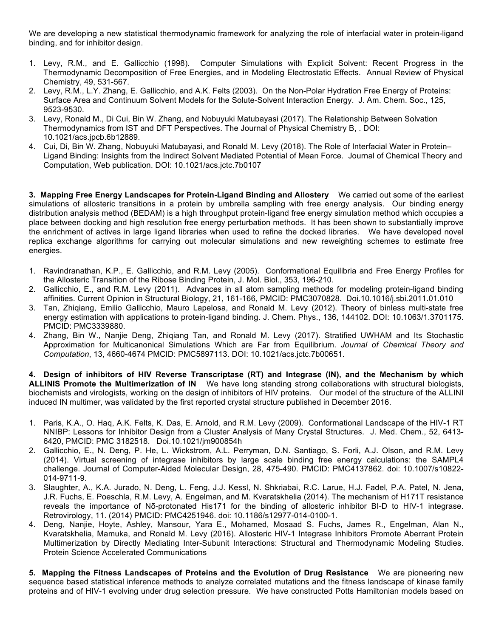We are developing a new statistical thermodynamic framework for analyzing the role of interfacial water in protein-ligand binding, and for inhibitor design.

- 1. Levy, R.M., and E. Gallicchio (1998). Computer Simulations with Explicit Solvent: Recent Progress in the Thermodynamic Decomposition of Free Energies, and in Modeling Electrostatic Effects. Annual Review of Physical Chemistry, 49, 531-567.
- 2. Levy, R.M., L.Y. Zhang, E. Gallicchio, and A.K. Felts (2003). On the Non-Polar Hydration Free Energy of Proteins: Surface Area and Continuum Solvent Models for the Solute-Solvent Interaction Energy. J. Am. Chem. Soc., 125, 9523-9530.
- 3. Levy, Ronald M., Di Cui, Bin W. Zhang, and Nobuyuki Matubayasi (2017). The Relationship Between Solvation Thermodynamics from IST and DFT Perspectives. The Journal of Physical Chemistry B, . DOI: 10.1021/acs.jpcb.6b12889.
- 4. Cui, Di, Bin W. Zhang, Nobuyuki Matubayasi, and Ronald M. Levy (2018). The Role of Interfacial Water in Protein– Ligand Binding: Insights from the Indirect Solvent Mediated Potential of Mean Force. Journal of Chemical Theory and Computation, Web publication. DOI: 10.1021/acs.jctc.7b0107

**3. Mapping Free Energy Landscapes for Protein-Ligand Binding and Allostery** We carried out some of the earliest simulations of allosteric transitions in a protein by umbrella sampling with free energy analysis. Our binding energy distribution analysis method (BEDAM) is a high throughput protein-ligand free energy simulation method which occupies a place between docking and high resolution free energy perturbation methods. It has been shown to substantially improve the enrichment of actives in large ligand libraries when used to refine the docked libraries. We have developed novel replica exchange algorithms for carrying out molecular simulations and new reweighting schemes to estimate free energies.

- 1. Ravindranathan, K.P., E. Gallicchio, and R.M. Levy (2005). Conformational Equilibria and Free Energy Profiles for the Allosteric Transition of the Ribose Binding Protein, J. Mol. Biol., 353, 196-210.
- 2. Gallicchio, E., and R.M. Levy (2011). Advances in all atom sampling methods for modeling protein-ligand binding affinities. Current Opinion in Structural Biology, 21, 161-166, PMCID: PMC3070828. Doi.10.1016/j.sbi.2011.01.010
- 3. Tan, Zhiqiang, Emilio Gallicchio, Mauro Lapelosa, and Ronald M. Levy (2012). Theory of binless multi-state free energy estimation with applications to protein-ligand binding. J. Chem. Phys., 136, 144102. DOI: 10.1063/1.3701175. PMCID: PMC3339880.
- 4. Zhang, Bin W., Nanjie Deng, Zhiqiang Tan, and Ronald M. Levy (2017). Stratified UWHAM and Its Stochastic Approximation for Multicanonical Simulations Which are Far from Equilibrium. *Journal of Chemical Theory and Computation*, 13, 4660-4674 PMCID: PMC5897113. DOI: 10.1021/acs.jctc.7b00651.

**4. Design of inhibitors of HIV Reverse Transcriptase (RT) and Integrase (IN), and the Mechanism by which ALLINIS Promote the Multimerization of IN** We have long standing strong collaborations with structural biologists, biochemists and virologists, working on the design of inhibitors of HIV proteins. Our model of the structure of the ALLINI induced IN multimer, was validated by the first reported crystal structure published in December 2016.

- 1. Paris, K.A., O. Haq, A.K. Felts, K. Das, E. Arnold, and R.M. Levy (2009). Conformational Landscape of the HIV-1 RT NNIBP: Lessons for Inhibitor Design from a Cluster Analysis of Many Crystal Structures. J. Med. Chem., 52, 6413- 6420, PMCID: PMC 3182518. Doi.10.1021/jm900854h
- 2. Gallicchio, E., N. Deng, P. He, L. Wickstrom, A.L. Perryman, D.N. Santiago, S. Forli, A.J. Olson, and R.M. Levy (2014). Virtual screening of integrase inhibitors by large scale binding free energy calculations: the SAMPL4 challenge. Journal of Computer-Aided Molecular Design, 28, 475-490. PMCID: PMC4137862. doi: 10.1007/s10822- 014-9711-9.
- 3. Slaughter, A., K.A. Jurado, N. Deng, L. Feng, J.J. Kessl, N. Shkriabai, R.C. Larue, H.J. Fadel, P.A. Patel, N. Jena, J.R. Fuchs, E. Poeschla, R.M. Levy, A. Engelman, and M. Kvaratskhelia (2014). The mechanism of H171T resistance reveals the importance of Nδ-protonated His171 for the binding of allosteric inhibitor BI-D to HIV-1 integrase. Retrovirology, 11. (2014) PMCID: PMC4251946. doi: 10.1186/s12977-014-0100-1.
- 4. Deng, Nanjie, Hoyte, Ashley, Mansour, Yara E., Mohamed, Mosaad S. Fuchs, James R., Engelman, Alan N., Kvaratskhelia, Mamuka, and Ronald M. Levy (2016). Allosteric HIV-1 Integrase Inhibitors Promote Aberrant Protein Multimerization by Directly Mediating Inter-Subunit Interactions: Structural and Thermodynamic Modeling Studies. Protein Science Accelerated Communications

**5. Mapping the Fitness Landscapes of Proteins and the Evolution of Drug Resistance** We are pioneering new sequence based statistical inference methods to analyze correlated mutations and the fitness landscape of kinase family proteins and of HIV-1 evolving under drug selection pressure. We have constructed Potts Hamiltonian models based on